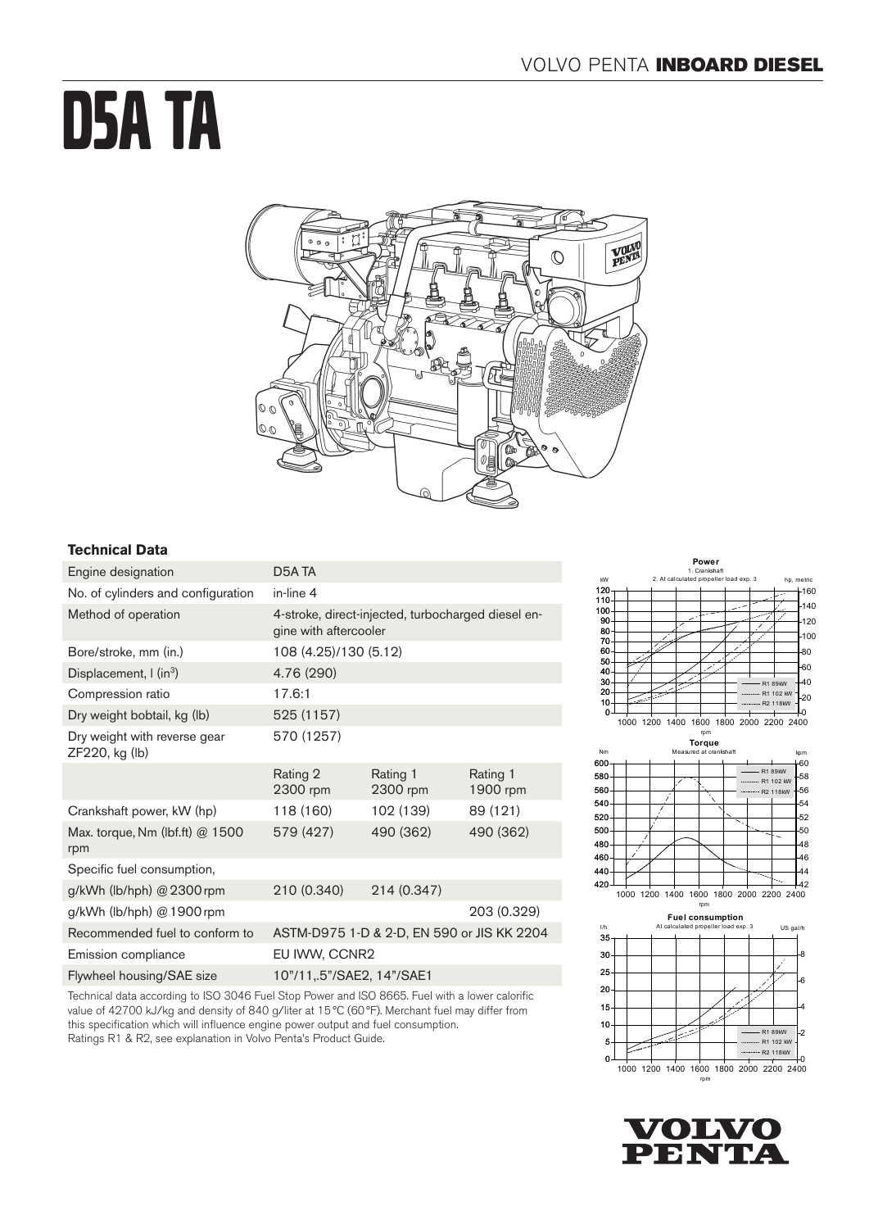# D5A TA



# **Technical Data**

| Engine designation                             | D <sub>5</sub> A TA                                                         |                      |                      |
|------------------------------------------------|-----------------------------------------------------------------------------|----------------------|----------------------|
| No. of cylinders and configuration             | in-line 4                                                                   |                      |                      |
| Method of operation                            | 4-stroke, direct-injected, turbocharged diesel en-<br>gine with aftercooler |                      |                      |
| Bore/stroke, mm (in.)                          | 108 (4.25)/130 (5.12)                                                       |                      |                      |
| Displacement, $\int$ (in <sup>3</sup> )        | 4.76 (290)                                                                  |                      |                      |
| Compression ratio                              | 17.6:1                                                                      |                      |                      |
| Dry weight bobtail, kg (lb)                    | 525 (1157)                                                                  |                      |                      |
| Dry weight with reverse gear<br>ZF220, kg (lb) | 570 (1257)                                                                  |                      |                      |
|                                                | Rating 2<br>2300 rpm                                                        | Rating 1<br>2300 rpm | Rating 1<br>1900 rpm |
| Crankshaft power, kW (hp)                      | 118 (160)                                                                   | 102 (139)            | 89 (121)             |
| Max. torque, Nm (lbf.ft) @ 1500<br>rpm         | 579 (427)                                                                   | 490 (362)            | 490 (362)            |
| Specific fuel consumption,                     |                                                                             |                      |                      |
| g/kWh (lb/hph) $@2300$ rpm                     | 210 (0.340)                                                                 | 214 (0.347)          |                      |
| g/kWh (lb/hph) @ 1900 rpm                      |                                                                             |                      | 203 (0.329)          |
| Recommended fuel to conform to                 | ASTM-D975 1-D & 2-D, EN 590 or JIS KK 2204                                  |                      |                      |
| Emission compliance                            | EU IWW, CCNR2                                                               |                      |                      |
| Flywheel housing/SAE size                      | 10"/11,.5"/SAE2, 14"/SAE1                                                   |                      |                      |
|                                                |                                                                             |                      |                      |

Technical data according to ISO 3046 Fuel Stop Power and ISO 8665. Fuel with a lower calorific value of 42700 kJ/kg and density of 840 g/liter at 15°C (60°F). Merchant fuel may differ from this specification which will influence engine power output and fuel consumption. Ratings R1 & R2, see explanation in Volvo Penta's Product Guide.